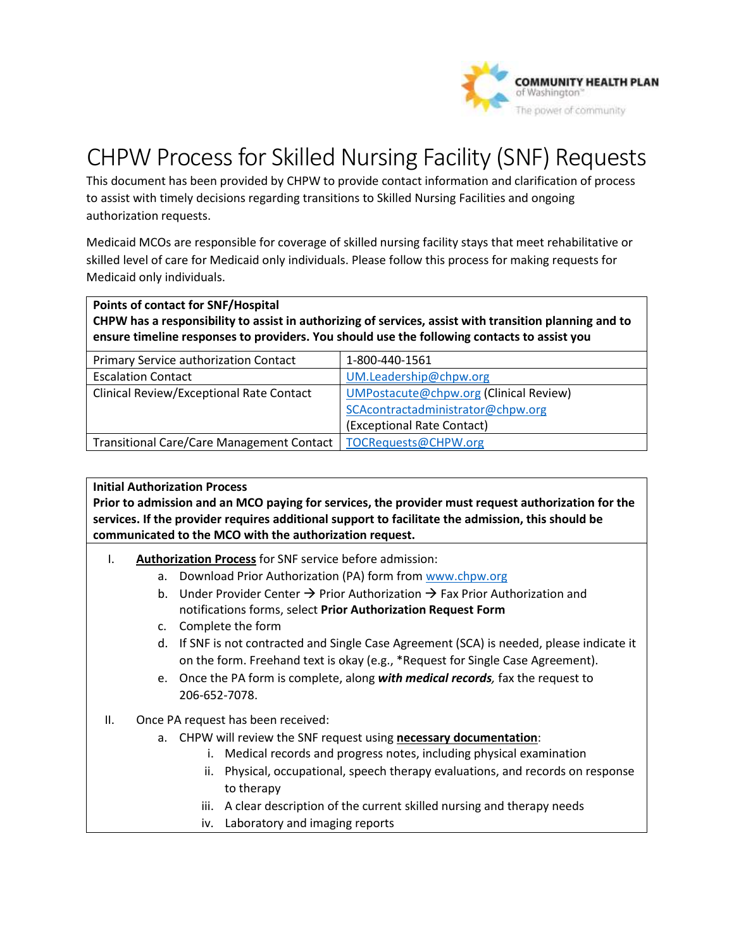

## CHPW Process for Skilled Nursing Facility (SNF) Requests

This document has been provided by CHPW to provide contact information and clarification of process to assist with timely decisions regarding transitions to Skilled Nursing Facilities and ongoing authorization requests.

 Medicaid MCOs are responsible for coverage of skilled nursing facility stays that meet rehabilitative or skilled level of care for Medicaid only individuals. Please follow this process for making requests for Medicaid only individuals.

**Points of contact for SNF/Hospital** 

 **ensure timeline responses to providers. You should use the following contacts to assist you CHPW has a responsibility to assist in authorizing of services, assist with transition planning and to** 

| Primary Service authorization Contact            | 1-800-440-1561                         |
|--------------------------------------------------|----------------------------------------|
| <b>Escalation Contact</b>                        | UM.Leadership@chpw.org                 |
| Clinical Review/Exceptional Rate Contact         | UMPostacute@chpw.org (Clinical Review) |
|                                                  | SCAcontractadministrator@chpw.org      |
|                                                  | (Exceptional Rate Contact)             |
| <b>Transitional Care/Care Management Contact</b> | TOCRequests@CHPW.org                   |

## **Initial Authorization Process**

 **Prior to admission and an MCO paying for services, the provider must request authorization for the services. If the provider requires additional support to facilitate the admission, this should be communicated to the MCO with the authorization request.** 

- I. **Authorization Process** for SNF service before admission:
	- a. Download Prior Authorization (PA) form from [www.chpw.org](http://www.chpw.org/)
	- b. Under Provider Center  $\rightarrow$  Prior Authorization  $\rightarrow$  Fax Prior Authorization and notifications forms, select **Prior Authorization Request Form**
	- c. Complete the form
	- d. If SNF is not contracted and Single Case Agreement (SCA) is needed, please indicate it on the form. Freehand text is okay (e.g., \*Request for Single Case Agreement).
	- e. Once the PA form is complete, along *with medical records,* fax the request to 206-652-7078.
- II. Once PA request has been received:
	- a. CHPW will review the SNF request using **necessary documentation**:
		- i. Medical records and progress notes, including physical examination
		- to therapy ii. Physical, occupational, speech therapy evaluations, and records on response
		- iii. A clear description of the current skilled nursing and therapy needs
		- iv. Laboratory and imaging reports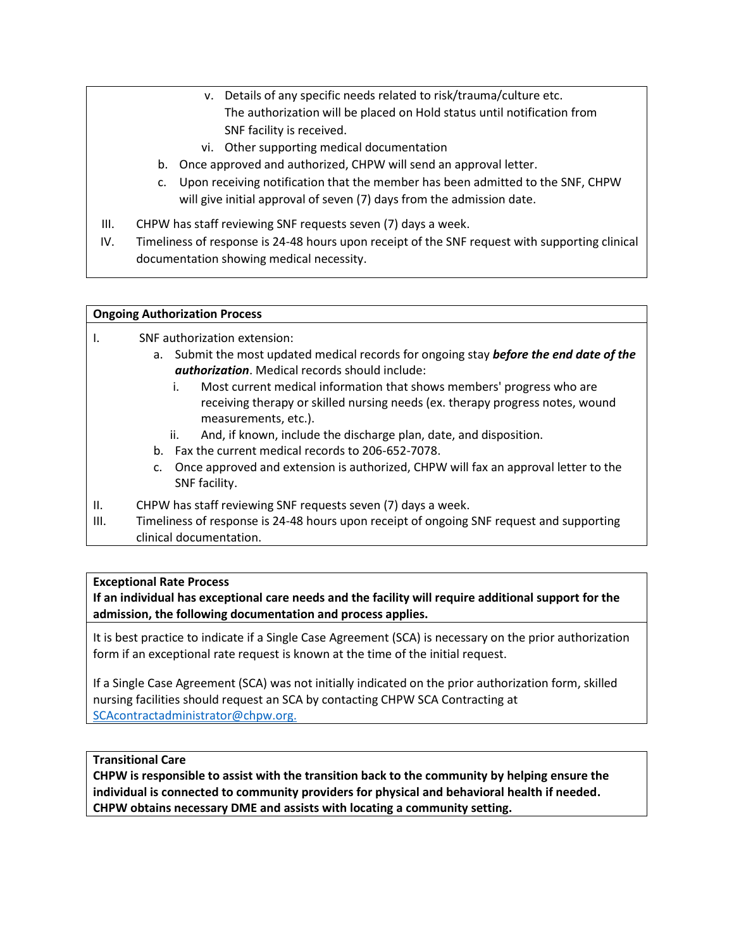- v. Details of any specific needs related to risk/trauma/culture etc. The authorization will be placed on Hold status until notification from SNF facility is received.
- vi. Other supporting medical documentation
- b. Once approved and authorized, CHPW will send an approval letter.
- c. Upon receiving notification that the member has been admitted to the SNF, CHPW will give initial approval of seven (7) days from the admission date.
- III. CHPW has staff reviewing SNF requests seven (7) days a week.
- IV. Timeliness of response is 24-48 hours upon receipt of the SNF request with supporting clinical documentation showing medical necessity.

## **Ongoing Authorization Process**

I. SNF authorization extension:

- a. Submit the most updated medical records for ongoing stay *before the end date of the authorization*. Medical records should include:
	- i. Most current medical information that shows members' progress who are receiving therapy or skilled nursing needs (ex. therapy progress notes, wound measurements, etc.).
	- ii. And, if known, include the discharge plan, date, and disposition.
- b. Fax the current medical records to 206-652-7078.
- c. Once approved and extension is authorized, CHPW will fax an approval letter to the SNF facility.
- II. CHPW has staff reviewing SNF requests seven (7) days a week.
- III. Timeliness of response is 24-48 hours upon receipt of ongoing SNF request and supporting clinical documentation.

## **Exceptional Rate Process**

**If an individual has exceptional care needs and the facility will require additional support for the admission, the following documentation and process applies.** 

It is best practice to indicate if a Single Case Agreement (SCA) is necessary on the prior authorization form if an exceptional rate request is known at the time of the initial request.

 nursing facilities should request an SCA by contacting CHPW SCA Contracting at If a Single Case Agreement (SCA) was not initially indicated on the prior authorization form, skilled [SCAcontractadministrator@chpw.org.](mailto:SCAcontractadministrator@chpw.org)

**Transitional Care** 

individual is connected to community providers for physical and behavioral health if needed.<br>CHPW obtains necessary DME and assists with locating a community setting. **CHPW is responsible to assist with the transition back to the community by helping ensure the**